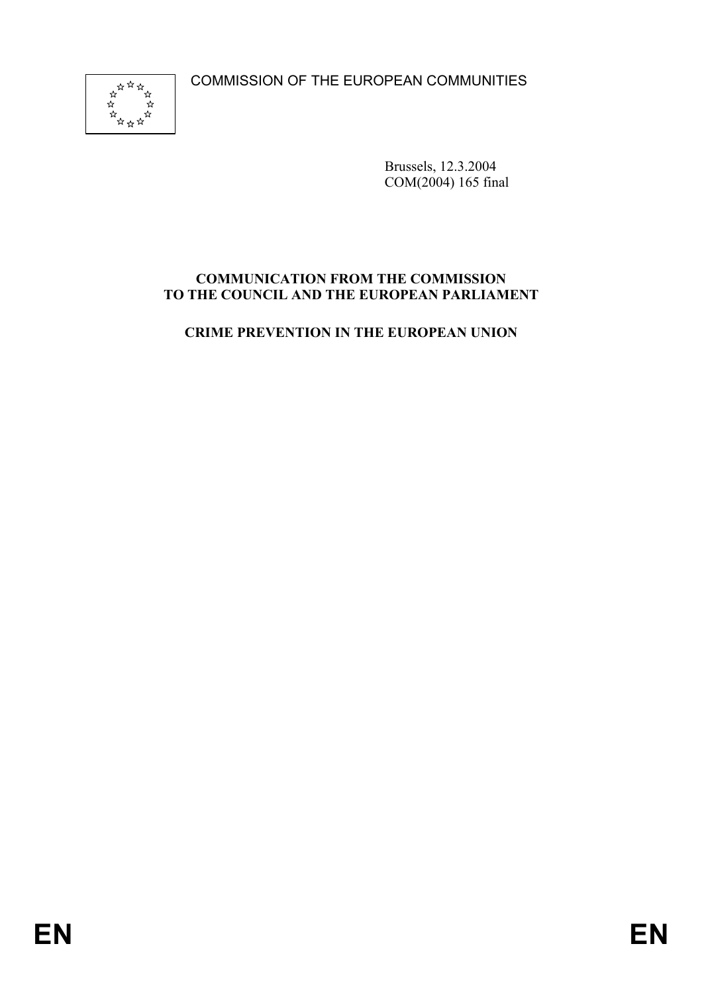COMMISSION OF THE EUROPEAN COMMUNITIES



Brussels, 12.3.2004 COM(2004) 165 final

# **COMMUNICATION FROM THE COMMISSION TO THE COUNCIL AND THE EUROPEAN PARLIAMENT**

**CRIME PREVENTION IN THE EUROPEAN UNION**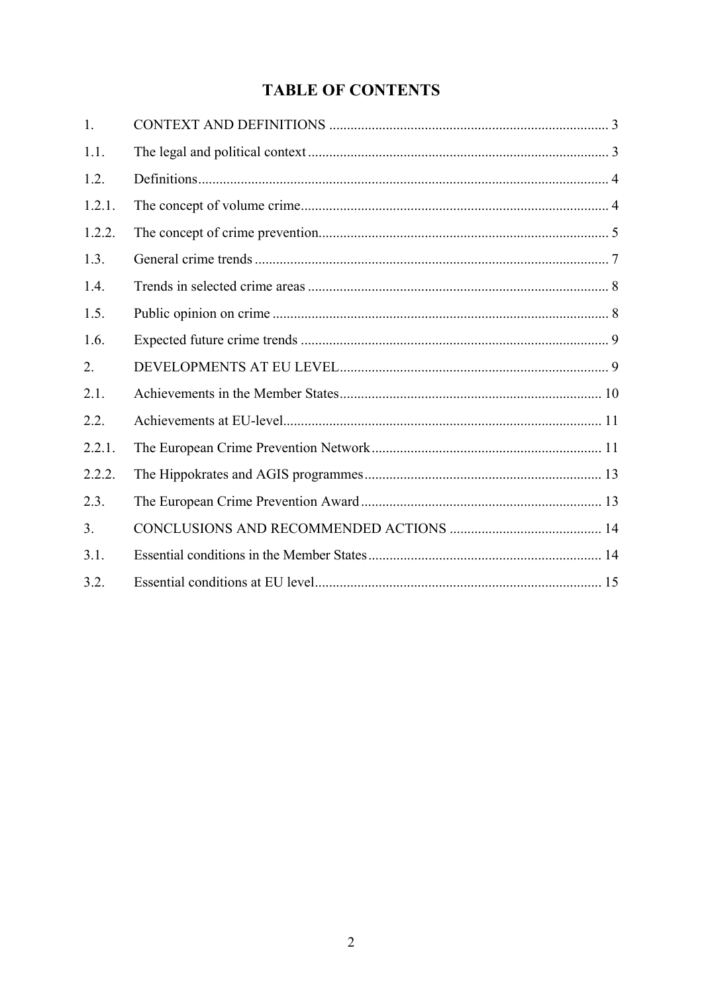# **TABLE OF CONTENTS**

| 1.     |  |
|--------|--|
| 1.1.   |  |
| 1.2.   |  |
| 1.2.1. |  |
| 1.2.2. |  |
| 1.3.   |  |
| 1.4.   |  |
| 1.5.   |  |
| 1.6.   |  |
| 2.     |  |
| 2.1.   |  |
| 2.2.   |  |
| 2.2.1. |  |
| 2.2.2. |  |
| 2.3.   |  |
| 3.     |  |
| 3.1.   |  |
| 3.2.   |  |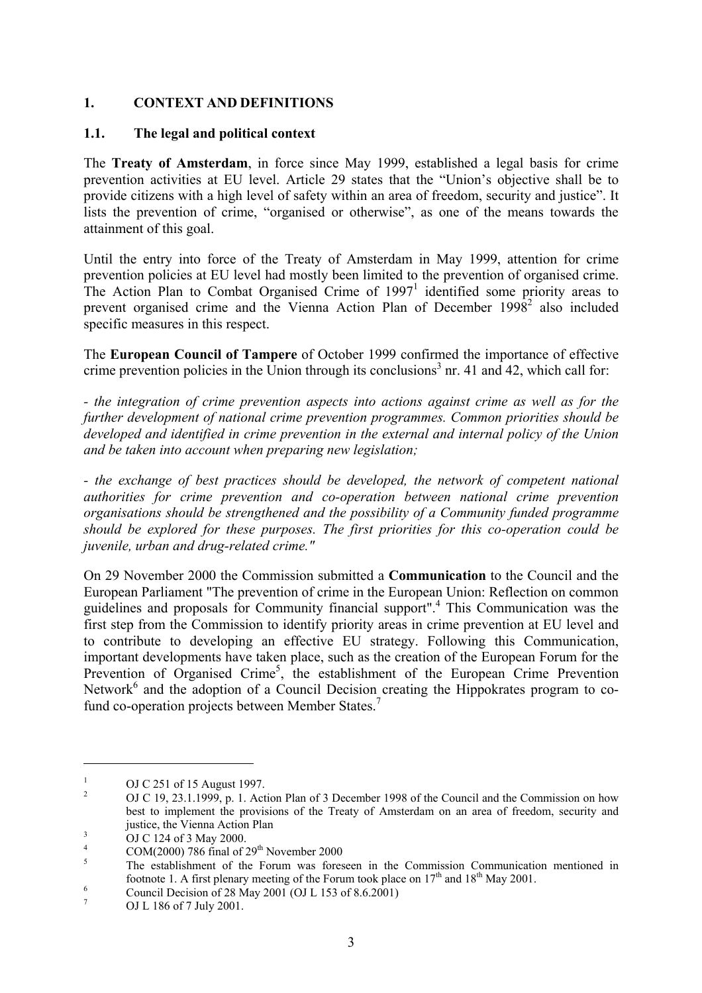## **1. CONTEXT AND DEFINITIONS**

#### **1.1. The legal and political context**

The **Treaty of Amsterdam**, in force since May 1999, established a legal basis for crime prevention activities at EU level. Article 29 states that the "Union's objective shall be to provide citizens with a high level of safety within an area of freedom, security and justice". It lists the prevention of crime, "organised or otherwise", as one of the means towards the attainment of this goal.

Until the entry into force of the Treaty of Amsterdam in May 1999, attention for crime prevention policies at EU level had mostly been limited to the prevention of organised crime. The Action Plan to Combat Organised Crime of  $1997<sup>1</sup>$  identified some priority areas to prevent organised crime and the Vienna Action Plan of December 1998<sup>2</sup> also included specific measures in this respect.

The **European Council of Tampere** of October 1999 confirmed the importance of effective crime prevention policies in the Union through its conclusions<sup>3</sup> nr. 41 and 42, which call for:

*- the integration of crime prevention aspects into actions against crime as well as for the further development of national crime prevention programmes. Common priorities should be developed and identified in crime prevention in the external and internal policy of the Union and be taken into account when preparing new legislation;* 

*- the exchange of best practices should be developed, the network of competent national authorities for crime prevention and co-operation between national crime prevention organisations should be strengthened and the possibility of a Community funded programme should be explored for these purposes. The first priorities for this co-operation could be juvenile, urban and drug-related crime."*

On 29 November 2000 the Commission submitted a **Communication** to the Council and the European Parliament "The prevention of crime in the European Union: Reflection on common guidelines and proposals for Community financial support".4 This Communication was the first step from the Commission to identify priority areas in crime prevention at EU level and to contribute to developing an effective EU strategy. Following this Communication, important developments have taken place, such as the creation of the European Forum for the Prevention of Organised Crime<sup>5</sup>, the establishment of the European Crime Prevention Network $<sup>6</sup>$  and the adoption of a Council Decision creating the Hippokrates program to co-</sup> fund co-operation projects between Member States.<sup>7</sup>

<sup>1</sup> OJ C 251 of 15 August 1997.

<sup>2</sup> OJ C 19, 23.1.1999, p. 1. Action Plan of 3 December 1998 of the Council and the Commission on how best to implement the provisions of the Treaty of Amsterdam on an area of freedom, security and justice, the Vienna Action Plan<br> $\frac{3}{2}$  OLG 124 of 2 May 2000

OJ C 124 of 3 May 2000.

<sup>4</sup> <sup>4</sup> COM(2000) 786 final of 29<sup>th</sup> November 2000

The establishment of the Forum was foreseen in the Commission Communication mentioned in footnote 1. A first plenary meeting of the Forum took place on  $17<sup>th</sup>$  and  $18<sup>th</sup>$  May 2001.

Council Decision of 28 May 2001 (OJ L 153 of 8.6.2001)

<sup>7</sup> OJ L 186 of 7 July 2001.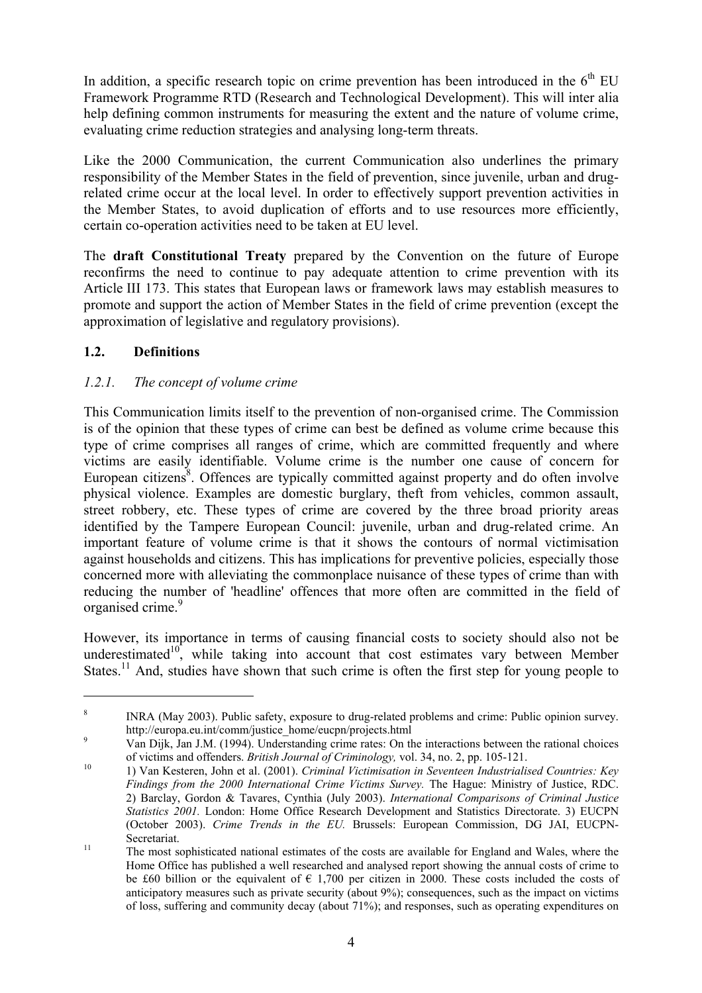In addition, a specific research topic on crime prevention has been introduced in the  $6<sup>th</sup> EU$ Framework Programme RTD (Research and Technological Development). This will inter alia help defining common instruments for measuring the extent and the nature of volume crime, evaluating crime reduction strategies and analysing long-term threats.

Like the 2000 Communication, the current Communication also underlines the primary responsibility of the Member States in the field of prevention, since juvenile, urban and drugrelated crime occur at the local level. In order to effectively support prevention activities in the Member States, to avoid duplication of efforts and to use resources more efficiently, certain co-operation activities need to be taken at EU level.

The **draft Constitutional Treaty** prepared by the Convention on the future of Europe reconfirms the need to continue to pay adequate attention to crime prevention with its Article III 173. This states that European laws or framework laws may establish measures to promote and support the action of Member States in the field of crime prevention (except the approximation of legislative and regulatory provisions).

# **1.2. Definitions**

 $\overline{a}$ 

## *1.2.1. The concept of volume crime*

This Communication limits itself to the prevention of non-organised crime. The Commission is of the opinion that these types of crime can best be defined as volume crime because this type of crime comprises all ranges of crime, which are committed frequently and where victims are easily identifiable. Volume crime is the number one cause of concern for European citizens $\mathscr{S}$ . Offences are typically committed against property and do often involve physical violence. Examples are domestic burglary, theft from vehicles, common assault, street robbery, etc. These types of crime are covered by the three broad priority areas identified by the Tampere European Council: juvenile, urban and drug-related crime. An important feature of volume crime is that it shows the contours of normal victimisation against households and citizens. This has implications for preventive policies, especially those concerned more with alleviating the commonplace nuisance of these types of crime than with reducing the number of 'headline' offences that more often are committed in the field of organised crime.<sup>9</sup>

However, its importance in terms of causing financial costs to society should also not be underestimated $10^{\circ}$ , while taking into account that cost estimates vary between Member States.<sup>11</sup> And, studies have shown that such crime is often the first step for young people to

<sup>8</sup> INRA (May 2003). Public safety, exposure to drug-related problems and crime: Public opinion survey. http://europa.eu.int/comm/justice\_home/eucpn/projects.html<br>9 Mei Dijke Lin J.M. (1994), Higherten line ering of the Outli

Van Dijk, Jan J.M. (1994). Understanding crime rates: On the interactions between the rational choices of victims and offenders. *British Journal of Criminology*, vol. 34, no. 2, pp. 105-121.<br><sup>10</sup> 1) Van Kesteren, John et al. (2001). *Criminal Victimisation in Seventeen Industrialised Countries: Key* 

*Findings from the 2000 International Crime Victims Survey.* The Hague: Ministry of Justice, RDC. 2) Barclay, Gordon & Tavares, Cynthia (July 2003). *International Comparisons of Criminal Justice Statistics 2001.* London: Home Office Research Development and Statistics Directorate. 3) EUCPN (October 2003). *Crime Trends in the EU.* Brussels: European Commission, DG JAI, EUCPN-Secretariat.<br><sup>11</sup> The most sophisticated national estimates of the costs are available for England and Wales, where the

Home Office has published a well researched and analysed report showing the annual costs of crime to be £60 billion or the equivalent of  $\epsilon$  1,700 per citizen in 2000. These costs included the costs of anticipatory measures such as private security (about 9%); consequences, such as the impact on victims of loss, suffering and community decay (about 71%); and responses, such as operating expenditures on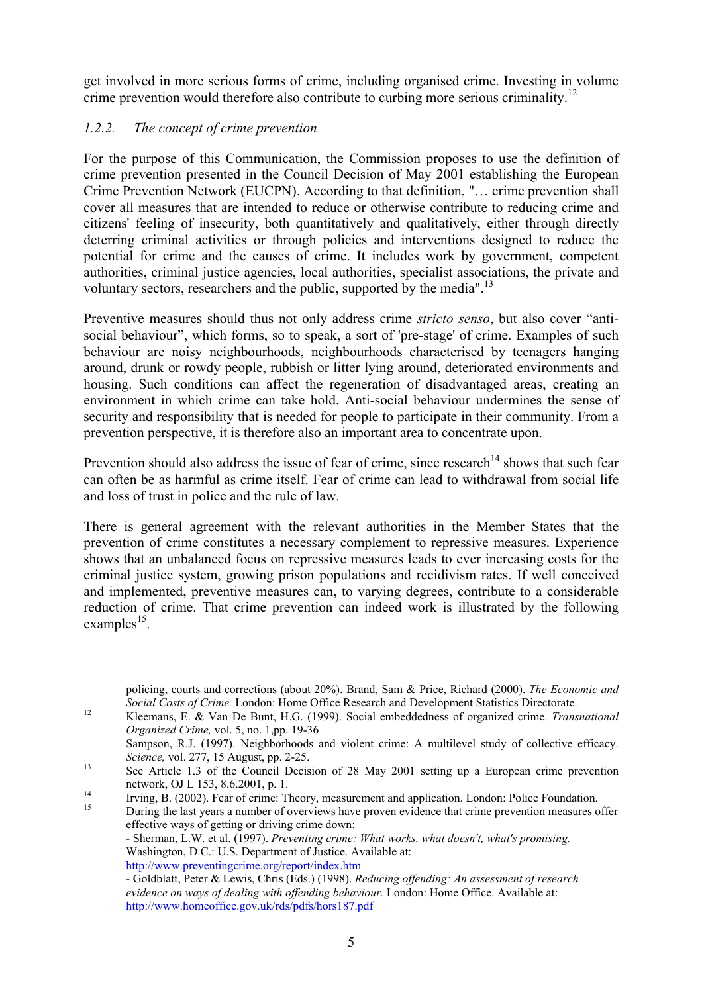get involved in more serious forms of crime, including organised crime. Investing in volume crime prevention would therefore also contribute to curbing more serious criminality.<sup>12</sup>

## *1.2.2. The concept of crime prevention*

 $\overline{a}$ 

For the purpose of this Communication, the Commission proposes to use the definition of crime prevention presented in the Council Decision of May 2001 establishing the European Crime Prevention Network (EUCPN). According to that definition, "… crime prevention shall cover all measures that are intended to reduce or otherwise contribute to reducing crime and citizens' feeling of insecurity, both quantitatively and qualitatively, either through directly deterring criminal activities or through policies and interventions designed to reduce the potential for crime and the causes of crime. It includes work by government, competent authorities, criminal justice agencies, local authorities, specialist associations, the private and voluntary sectors, researchers and the public, supported by the media".<sup>13</sup>

Preventive measures should thus not only address crime *stricto senso*, but also cover "antisocial behaviour", which forms, so to speak, a sort of 'pre-stage' of crime. Examples of such behaviour are noisy neighbourhoods, neighbourhoods characterised by teenagers hanging around, drunk or rowdy people, rubbish or litter lying around, deteriorated environments and housing. Such conditions can affect the regeneration of disadvantaged areas, creating an environment in which crime can take hold. Anti-social behaviour undermines the sense of security and responsibility that is needed for people to participate in their community. From a prevention perspective, it is therefore also an important area to concentrate upon.

Prevention should also address the issue of fear of crime, since research<sup>14</sup> shows that such fear can often be as harmful as crime itself. Fear of crime can lead to withdrawal from social life and loss of trust in police and the rule of law.

There is general agreement with the relevant authorities in the Member States that the prevention of crime constitutes a necessary complement to repressive measures. Experience shows that an unbalanced focus on repressive measures leads to ever increasing costs for the criminal justice system, growing prison populations and recidivism rates. If well conceived and implemented, preventive measures can, to varying degrees, contribute to a considerable reduction of crime. That crime prevention can indeed work is illustrated by the following examples<sup>15</sup>.

policing, courts and corrections (about 20%). Brand, Sam & Price, Richard (2000). *The Economic and Social Costs of Crime*. London: Home Office Research and Development Statistics Directorate.

*Social Costs of Crime.* London: Home Office Research and Development Statistics Directorate. 12 Kleemans, E. & Van De Bunt, H.G. (1999). Social embeddedness of organized crime. *Transnational Organized Crime,* vol. 5, no. 1,pp. 19-36

Sampson, R.J. (1997). Neighborhoods and violent crime: A multilevel study of collective efficacy. *Science,* vol. 277, 15 August, pp. 2-25.<br><sup>13</sup> See Article 1.3 of the Council Decision of 28 May 2001 setting up a European crime prevention

network, OJ L 153, 8.6.2001, p. 1.<br>
Irving, B. (2002). Fear of crime: Theory, measurement and application. London: Police Foundation.<br>
During the lect vegre a number of overviews have proven avidence that erime provention

<sup>15</sup> During the last years a number of overviews have proven evidence that crime prevention measures offer effective ways of getting or driving crime down:

<sup>-</sup> Sherman, L.W. et al. (1997). *Preventing crime: What works, what doesn't, what's promising.* Washington, D.C.: U.S. Department of Justice. Available at: http://www.preventingcrime.org/report/index.htm

<sup>-</sup> Goldblatt, Peter & Lewis, Chris (Eds.) (1998). *Reducing offending: An assessment of research evidence on ways of dealing with offending behaviour.* London: Home Office. Available at: http://www.homeoffice.gov.uk/rds/pdfs/hors187.pdf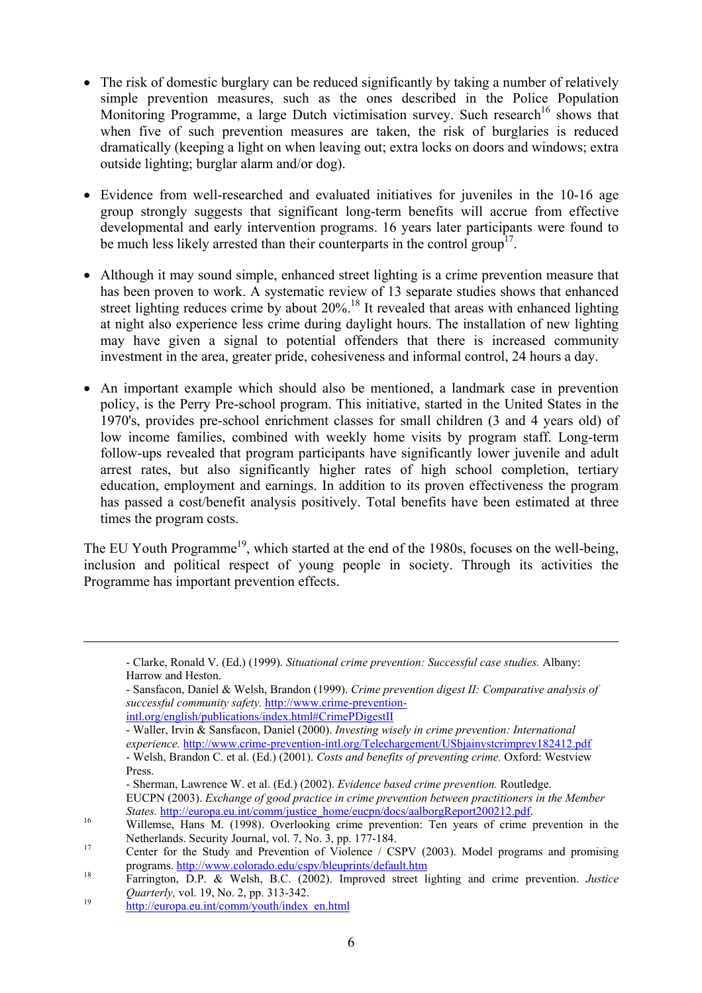- The risk of domestic burglary can be reduced significantly by taking a number of relatively simple prevention measures, such as the ones described in the Police Population Monitoring Programme, a large Dutch victimisation survey. Such research<sup>16</sup> shows that when five of such prevention measures are taken, the risk of burglaries is reduced dramatically (keeping a light on when leaving out; extra locks on doors and windows; extra outside lighting; burglar alarm and/or dog).
- Evidence from well-researched and evaluated initiatives for juveniles in the 10-16 age group strongly suggests that significant long-term benefits will accrue from effective developmental and early intervention programs. 16 years later participants were found to be much less likely arrested than their counterparts in the control group<sup>17</sup>.
- Although it may sound simple, enhanced street lighting is a crime prevention measure that has been proven to work. A systematic review of 13 separate studies shows that enhanced street lighting reduces crime by about 20%.<sup>18</sup> It revealed that areas with enhanced lighting at night also experience less crime during daylight hours. The installation of new lighting may have given a signal to potential offenders that there is increased community investment in the area, greater pride, cohesiveness and informal control, 24 hours a day.
- An important example which should also be mentioned, a landmark case in prevention policy, is the Perry Pre-school program. This initiative, started in the United States in the 1970's, provides pre-school enrichment classes for small children (3 and 4 years old) of low income families, combined with weekly home visits by program staff. Long-term follow-ups revealed that program participants have significantly lower juvenile and adult arrest rates, but also significantly higher rates of high school completion, tertiary education, employment and earnings. In addition to its proven effectiveness the program has passed a cost/benefit analysis positively. Total benefits have been estimated at three times the program costs.

The EU Youth Programme<sup>19</sup>, which started at the end of the 1980s, focuses on the well-being, inclusion and political respect of young people in society. Through its activities the Programme has important prevention effects.

<sup>-</sup> Clarke, Ronald V. (Ed.) (1999). *Situational crime prevention: Successful case studies.* Albany: Harrow and Heston.

<sup>-</sup> Sansfacon, Daniel & Welsh, Brandon (1999). *Crime prevention digest II: Comparative analysis of successful community safety.* http://www.crime-prevention-

intl.org/english/publications/index.html#CrimePDigestII

<sup>-</sup> Waller, Irvin & Sansfacon, Daniel (2000). *Investing wisely in crime prevention: International experience.* http://www.crime-prevention-intl.org/Telechargement/USbjainvstcrimprev182412.pdf - Welsh, Brandon C. et al. (Ed.) (2001). *Costs and benefits of preventing crime.* Oxford: Westview Press.

<sup>-</sup> Sherman, Lawrence W. et al. (Ed.) (2002). *Evidence based crime prevention.* Routledge. EUCPN (2003). *Exchange of good practice in crime prevention between practitioners in the Member* 

*States.* http://europa.eu.int/comm/justice\_home/eucpn/docs/aalborgReport200212.pdf.<br><sup>16</sup> Willemse, Hans M. (1998). Overlooking crime prevention: Ten years of crime prevention in the

Netherlands. Security Journal, vol. 7, No. 3, pp. 177-184.<br>
17 Center for the Study and Prevention of Violence / CSPV (2003). Model programs and promising

programs. http://www.colorado.edu/cspv/bleuprints/default.htm 18 Farrington, D.P. & Welsh, B.C. (2002). Improved street lighting and crime prevention. *Justice*  <sup>19</sup> *Quarterly,* vol. 19, No. 2, pp. 313-342.<br><sup>19</sup> http://europa.eu.int/comm/youth/index\_en.html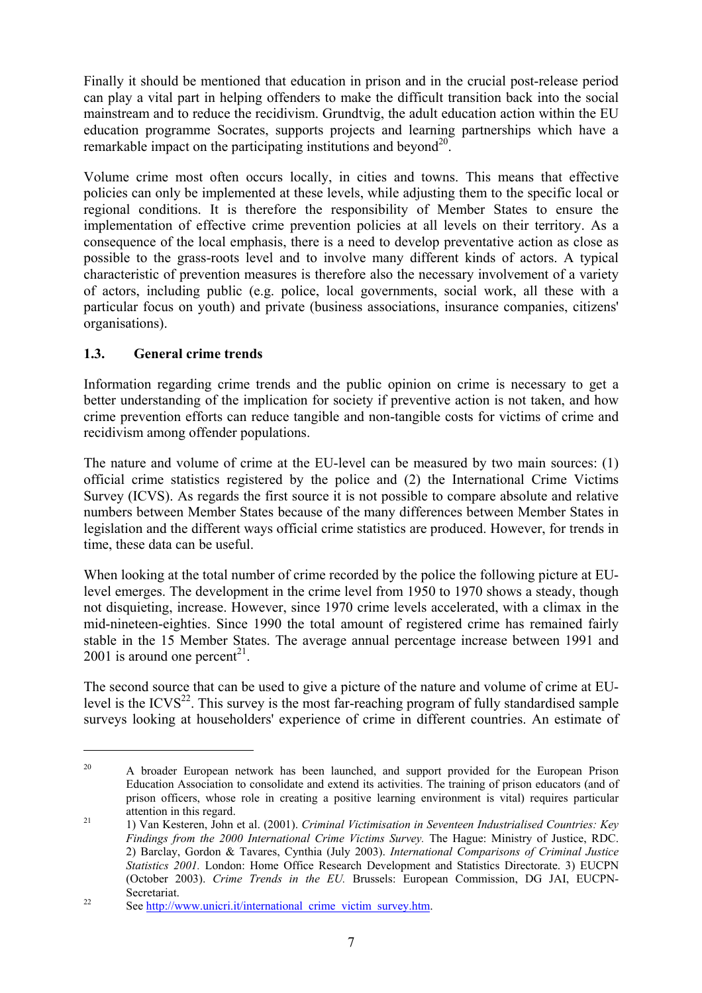Finally it should be mentioned that education in prison and in the crucial post-release period can play a vital part in helping offenders to make the difficult transition back into the social mainstream and to reduce the recidivism. Grundtvig, the adult education action within the EU education programme Socrates, supports projects and learning partnerships which have a remarkable impact on the participating institutions and beyond<sup>20</sup>.

Volume crime most often occurs locally, in cities and towns. This means that effective policies can only be implemented at these levels, while adjusting them to the specific local or regional conditions. It is therefore the responsibility of Member States to ensure the implementation of effective crime prevention policies at all levels on their territory. As a consequence of the local emphasis, there is a need to develop preventative action as close as possible to the grass-roots level and to involve many different kinds of actors. A typical characteristic of prevention measures is therefore also the necessary involvement of a variety of actors, including public (e.g. police, local governments, social work, all these with a particular focus on youth) and private (business associations, insurance companies, citizens' organisations).

# **1.3. General crime trends**

 $\overline{a}$ 

Information regarding crime trends and the public opinion on crime is necessary to get a better understanding of the implication for society if preventive action is not taken, and how crime prevention efforts can reduce tangible and non-tangible costs for victims of crime and recidivism among offender populations.

The nature and volume of crime at the EU-level can be measured by two main sources: (1) official crime statistics registered by the police and (2) the International Crime Victims Survey (ICVS). As regards the first source it is not possible to compare absolute and relative numbers between Member States because of the many differences between Member States in legislation and the different ways official crime statistics are produced. However, for trends in time, these data can be useful.

When looking at the total number of crime recorded by the police the following picture at EUlevel emerges. The development in the crime level from 1950 to 1970 shows a steady, though not disquieting, increase. However, since 1970 crime levels accelerated, with a climax in the mid-nineteen-eighties. Since 1990 the total amount of registered crime has remained fairly stable in the 15 Member States. The average annual percentage increase between 1991 and 2001 is around one percent<sup>21</sup>.

The second source that can be used to give a picture of the nature and volume of crime at EUlevel is the ICVS $^{22}$ . This survey is the most far-reaching program of fully standardised sample surveys looking at householders' experience of crime in different countries. An estimate of

<sup>&</sup>lt;sup>20</sup> A broader European network has been launched, and support provided for the European Prison Education Association to consolidate and extend its activities. The training of prison educators (and of prison officers, whose role in creating a positive learning environment is vital) requires particular attention in this regard. 21 1) Van Kesteren, John et al. (2001). *Criminal Victimisation in Seventeen Industrialised Countries: Key* 

*Findings from the 2000 International Crime Victims Survey.* The Hague: Ministry of Justice, RDC. 2) Barclay, Gordon & Tavares, Cynthia (July 2003). *International Comparisons of Criminal Justice Statistics 2001.* London: Home Office Research Development and Statistics Directorate. 3) EUCPN (October 2003). *Crime Trends in the EU.* Brussels: European Commission, DG JAI, EUCPN-

Secretariat.<br>
22 See http://www.unicri.it/international\_crime\_victim\_survey.htm.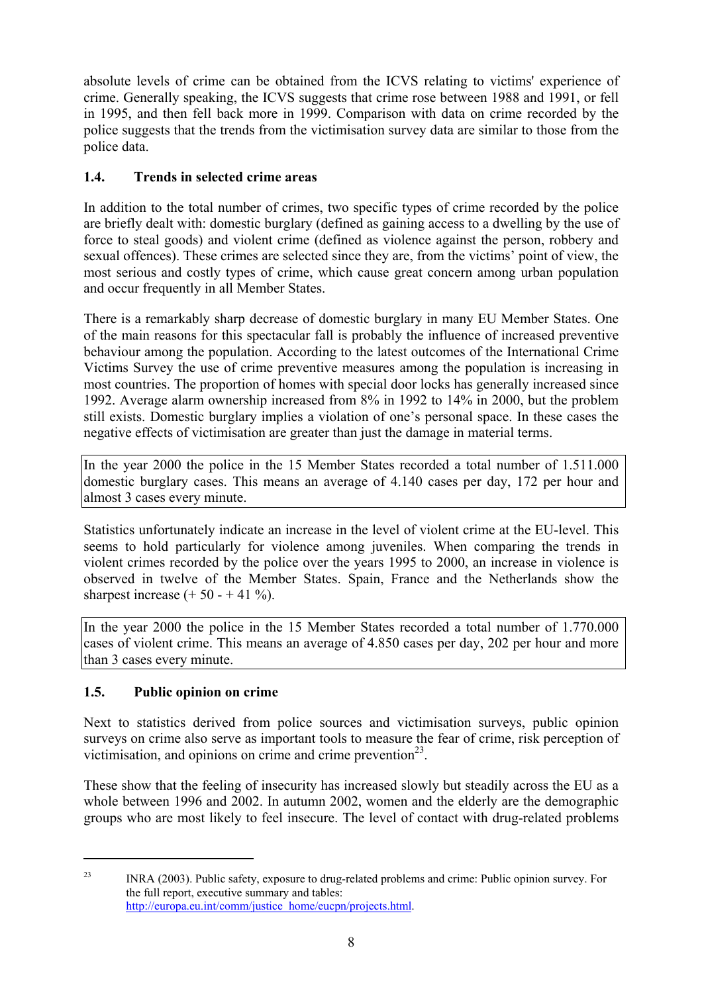absolute levels of crime can be obtained from the ICVS relating to victims' experience of crime. Generally speaking, the ICVS suggests that crime rose between 1988 and 1991, or fell in 1995, and then fell back more in 1999. Comparison with data on crime recorded by the police suggests that the trends from the victimisation survey data are similar to those from the police data.

# **1.4. Trends in selected crime areas**

In addition to the total number of crimes, two specific types of crime recorded by the police are briefly dealt with: domestic burglary (defined as gaining access to a dwelling by the use of force to steal goods) and violent crime (defined as violence against the person, robbery and sexual offences). These crimes are selected since they are, from the victims' point of view, the most serious and costly types of crime, which cause great concern among urban population and occur frequently in all Member States.

There is a remarkably sharp decrease of domestic burglary in many EU Member States. One of the main reasons for this spectacular fall is probably the influence of increased preventive behaviour among the population. According to the latest outcomes of the International Crime Victims Survey the use of crime preventive measures among the population is increasing in most countries. The proportion of homes with special door locks has generally increased since 1992. Average alarm ownership increased from 8% in 1992 to 14% in 2000, but the problem still exists. Domestic burglary implies a violation of one's personal space. In these cases the negative effects of victimisation are greater than just the damage in material terms.

In the year 2000 the police in the 15 Member States recorded a total number of 1.511.000 domestic burglary cases. This means an average of 4.140 cases per day, 172 per hour and almost 3 cases every minute.

Statistics unfortunately indicate an increase in the level of violent crime at the EU-level. This seems to hold particularly for violence among juveniles. When comparing the trends in violent crimes recorded by the police over the years 1995 to 2000, an increase in violence is observed in twelve of the Member States. Spain, France and the Netherlands show the sharpest increase  $(+ 50 - + 41 \%)$ .

In the year 2000 the police in the 15 Member States recorded a total number of 1.770.000 cases of violent crime. This means an average of 4.850 cases per day, 202 per hour and more than 3 cases every minute.

# **1.5. Public opinion on crime**

Next to statistics derived from police sources and victimisation surveys, public opinion surveys on crime also serve as important tools to measure the fear of crime, risk perception of victimisation, and opinions on crime and crime prevention<sup>23</sup>.

These show that the feeling of insecurity has increased slowly but steadily across the EU as a whole between 1996 and 2002. In autumn 2002, women and the elderly are the demographic groups who are most likely to feel insecure. The level of contact with drug-related problems

 $\overline{a}$ 

<sup>&</sup>lt;sup>23</sup> INRA (2003). Public safety, exposure to drug-related problems and crime: Public opinion survey. For the full report, executive summary and tables: http://europa.eu.int/comm/justice\_home/eucpn/projects.html.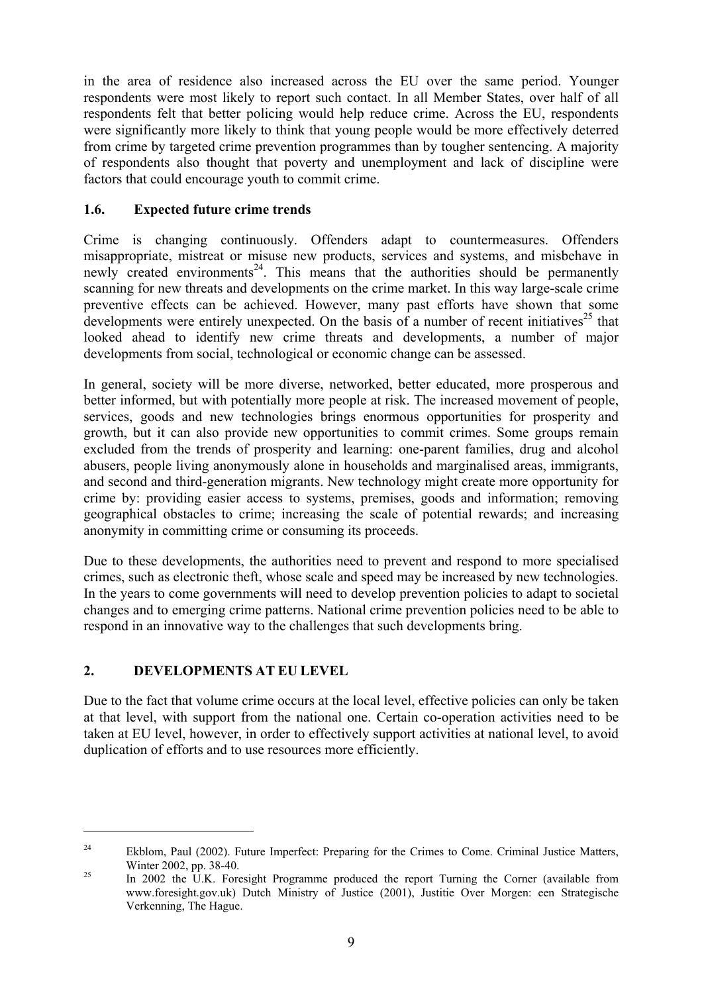in the area of residence also increased across the EU over the same period. Younger respondents were most likely to report such contact. In all Member States, over half of all respondents felt that better policing would help reduce crime. Across the EU, respondents were significantly more likely to think that young people would be more effectively deterred from crime by targeted crime prevention programmes than by tougher sentencing. A majority of respondents also thought that poverty and unemployment and lack of discipline were factors that could encourage youth to commit crime.

## **1.6. Expected future crime trends**

Crime is changing continuously. Offenders adapt to countermeasures. Offenders misappropriate, mistreat or misuse new products, services and systems, and misbehave in newly created environments<sup>24</sup>. This means that the authorities should be permanently scanning for new threats and developments on the crime market. In this way large-scale crime preventive effects can be achieved. However, many past efforts have shown that some developments were entirely unexpected. On the basis of a number of recent initiatives<sup>25</sup> that looked ahead to identify new crime threats and developments, a number of major developments from social, technological or economic change can be assessed.

In general, society will be more diverse, networked, better educated, more prosperous and better informed, but with potentially more people at risk. The increased movement of people, services, goods and new technologies brings enormous opportunities for prosperity and growth, but it can also provide new opportunities to commit crimes. Some groups remain excluded from the trends of prosperity and learning: one-parent families, drug and alcohol abusers, people living anonymously alone in households and marginalised areas, immigrants, and second and third-generation migrants. New technology might create more opportunity for crime by: providing easier access to systems, premises, goods and information; removing geographical obstacles to crime; increasing the scale of potential rewards; and increasing anonymity in committing crime or consuming its proceeds.

Due to these developments, the authorities need to prevent and respond to more specialised crimes, such as electronic theft, whose scale and speed may be increased by new technologies. In the years to come governments will need to develop prevention policies to adapt to societal changes and to emerging crime patterns. National crime prevention policies need to be able to respond in an innovative way to the challenges that such developments bring.

# **2. DEVELOPMENTS AT EU LEVEL**

 $\overline{a}$ 

Due to the fact that volume crime occurs at the local level, effective policies can only be taken at that level, with support from the national one. Certain co-operation activities need to be taken at EU level, however, in order to effectively support activities at national level, to avoid duplication of efforts and to use resources more efficiently.

<sup>&</sup>lt;sup>24</sup> Ekblom, Paul (2002). Future Imperfect: Preparing for the Crimes to Come. Criminal Justice Matters, Winter 2002, pp. 38-40.<br>
<sup>25</sup> In 2002 the U.K. Foresight Programme produced the report Turning the Corner (available from

www.foresight.gov.uk) Dutch Ministry of Justice (2001), Justitie Over Morgen: een Strategische Verkenning, The Hague.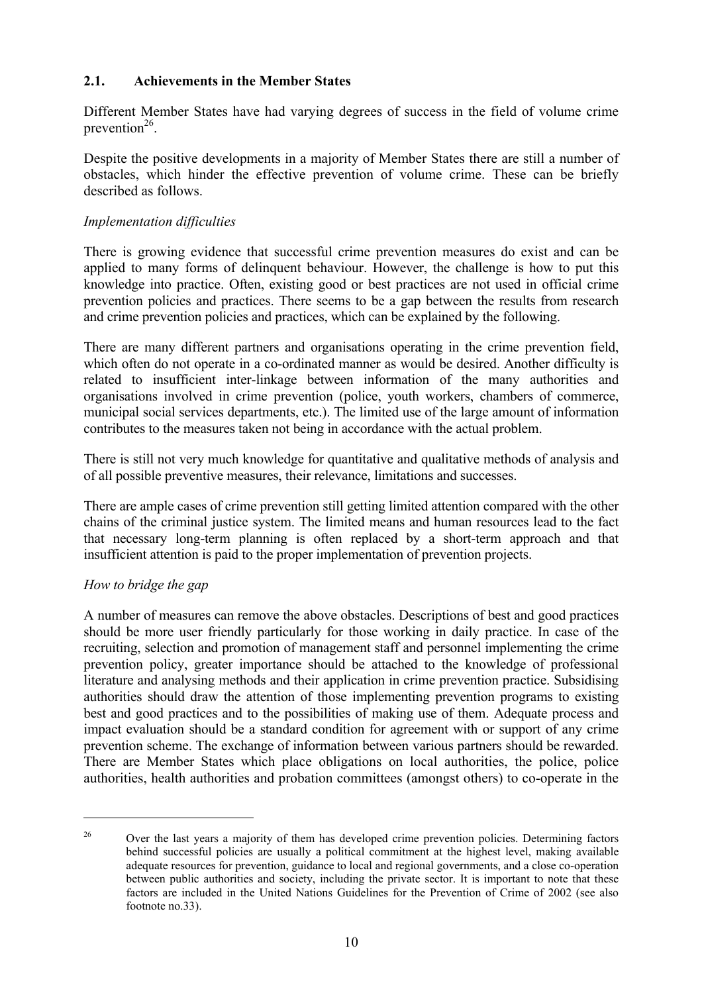#### **2.1. Achievements in the Member States**

Different Member States have had varying degrees of success in the field of volume crime prevention $^{26}$ .

Despite the positive developments in a majority of Member States there are still a number of obstacles, which hinder the effective prevention of volume crime. These can be briefly described as follows.

#### *Implementation difficulties*

There is growing evidence that successful crime prevention measures do exist and can be applied to many forms of delinquent behaviour. However, the challenge is how to put this knowledge into practice. Often, existing good or best practices are not used in official crime prevention policies and practices. There seems to be a gap between the results from research and crime prevention policies and practices, which can be explained by the following.

There are many different partners and organisations operating in the crime prevention field, which often do not operate in a co-ordinated manner as would be desired. Another difficulty is related to insufficient inter-linkage between information of the many authorities and organisations involved in crime prevention (police, youth workers, chambers of commerce, municipal social services departments, etc.). The limited use of the large amount of information contributes to the measures taken not being in accordance with the actual problem.

There is still not very much knowledge for quantitative and qualitative methods of analysis and of all possible preventive measures, their relevance, limitations and successes.

There are ample cases of crime prevention still getting limited attention compared with the other chains of the criminal justice system. The limited means and human resources lead to the fact that necessary long-term planning is often replaced by a short-term approach and that insufficient attention is paid to the proper implementation of prevention projects.

#### *How to bridge the gap*

 $\overline{a}$ 

A number of measures can remove the above obstacles. Descriptions of best and good practices should be more user friendly particularly for those working in daily practice. In case of the recruiting, selection and promotion of management staff and personnel implementing the crime prevention policy, greater importance should be attached to the knowledge of professional literature and analysing methods and their application in crime prevention practice. Subsidising authorities should draw the attention of those implementing prevention programs to existing best and good practices and to the possibilities of making use of them. Adequate process and impact evaluation should be a standard condition for agreement with or support of any crime prevention scheme. The exchange of information between various partners should be rewarded. There are Member States which place obligations on local authorities, the police, police authorities, health authorities and probation committees (amongst others) to co-operate in the

<sup>&</sup>lt;sup>26</sup> Over the last years a majority of them has developed crime prevention policies. Determining factors behind successful policies are usually a political commitment at the highest level, making available adequate resources for prevention, guidance to local and regional governments, and a close co-operation between public authorities and society, including the private sector. It is important to note that these factors are included in the United Nations Guidelines for the Prevention of Crime of 2002 (see also footnote no.33).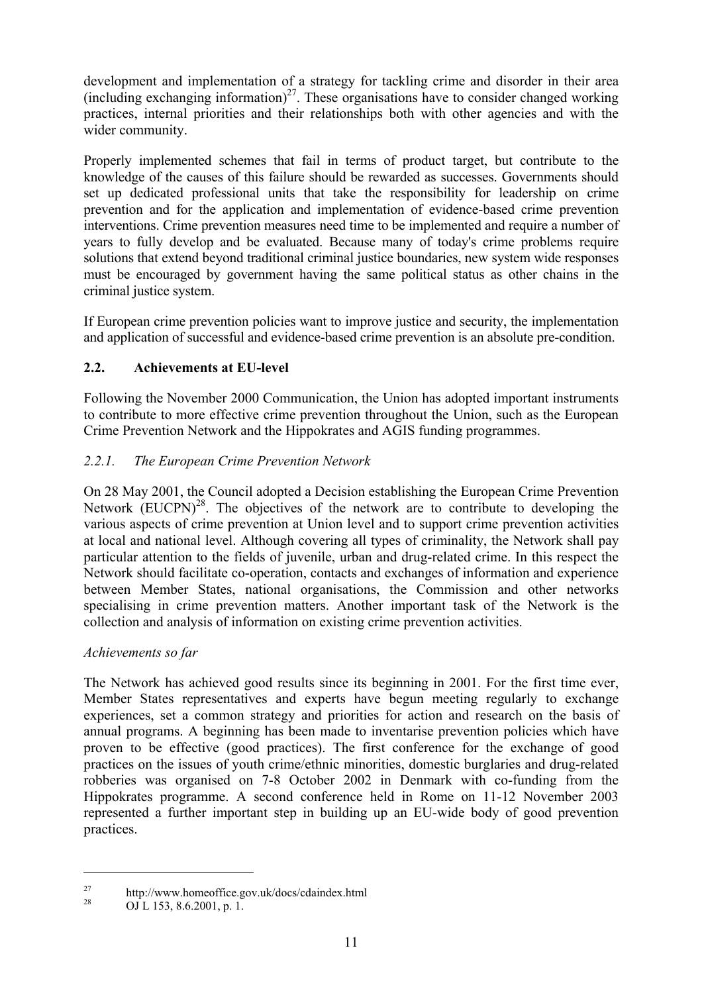development and implementation of a strategy for tackling crime and disorder in their area  $(including exchange information)<sup>27</sup>$ . These organisations have to consider changed working practices, internal priorities and their relationships both with other agencies and with the wider community.

Properly implemented schemes that fail in terms of product target, but contribute to the knowledge of the causes of this failure should be rewarded as successes. Governments should set up dedicated professional units that take the responsibility for leadership on crime prevention and for the application and implementation of evidence-based crime prevention interventions. Crime prevention measures need time to be implemented and require a number of years to fully develop and be evaluated. Because many of today's crime problems require solutions that extend beyond traditional criminal justice boundaries, new system wide responses must be encouraged by government having the same political status as other chains in the criminal justice system.

If European crime prevention policies want to improve justice and security, the implementation and application of successful and evidence-based crime prevention is an absolute pre-condition.

# **2.2. Achievements at EU-level**

Following the November 2000 Communication, the Union has adopted important instruments to contribute to more effective crime prevention throughout the Union, such as the European Crime Prevention Network and the Hippokrates and AGIS funding programmes.

# *2.2.1. The European Crime Prevention Network*

On 28 May 2001, the Council adopted a Decision establishing the European Crime Prevention Network  $(EUCPN)^{28}$ . The objectives of the network are to contribute to developing the various aspects of crime prevention at Union level and to support crime prevention activities at local and national level. Although covering all types of criminality, the Network shall pay particular attention to the fields of juvenile, urban and drug-related crime. In this respect the Network should facilitate co-operation, contacts and exchanges of information and experience between Member States, national organisations, the Commission and other networks specialising in crime prevention matters. Another important task of the Network is the collection and analysis of information on existing crime prevention activities.

# *Achievements so far*

The Network has achieved good results since its beginning in 2001. For the first time ever, Member States representatives and experts have begun meeting regularly to exchange experiences, set a common strategy and priorities for action and research on the basis of annual programs. A beginning has been made to inventarise prevention policies which have proven to be effective (good practices). The first conference for the exchange of good practices on the issues of youth crime/ethnic minorities, domestic burglaries and drug-related robberies was organised on 7-8 October 2002 in Denmark with co-funding from the Hippokrates programme. A second conference held in Rome on 11-12 November 2003 represented a further important step in building up an EU-wide body of good prevention practices.

<sup>&</sup>lt;sup>27</sup> http://www.homeoffice.gov.uk/docs/cdaindex.html

 $QJ$  L 153, 8.6.2001, p. 1.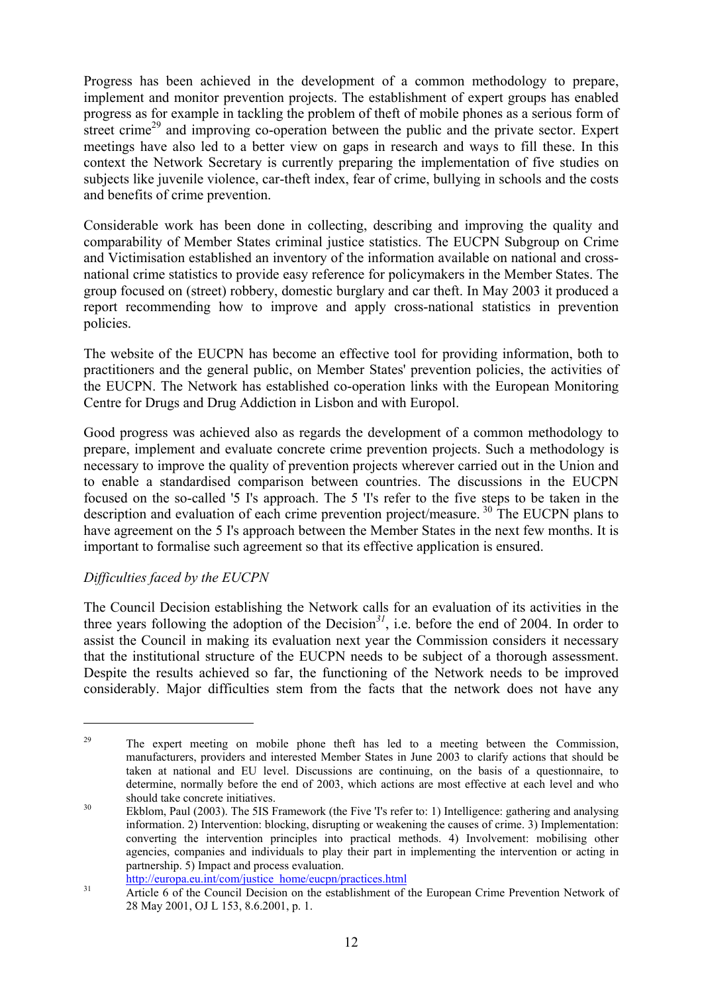Progress has been achieved in the development of a common methodology to prepare, implement and monitor prevention projects. The establishment of expert groups has enabled progress as for example in tackling the problem of theft of mobile phones as a serious form of street crime<sup>29</sup> and improving co-operation between the public and the private sector. Expert meetings have also led to a better view on gaps in research and ways to fill these. In this context the Network Secretary is currently preparing the implementation of five studies on subjects like juvenile violence, car-theft index, fear of crime, bullying in schools and the costs and benefits of crime prevention.

Considerable work has been done in collecting, describing and improving the quality and comparability of Member States criminal justice statistics. The EUCPN Subgroup on Crime and Victimisation established an inventory of the information available on national and crossnational crime statistics to provide easy reference for policymakers in the Member States. The group focused on (street) robbery, domestic burglary and car theft. In May 2003 it produced a report recommending how to improve and apply cross-national statistics in prevention policies.

The website of the EUCPN has become an effective tool for providing information, both to practitioners and the general public, on Member States' prevention policies, the activities of the EUCPN. The Network has established co-operation links with the European Monitoring Centre for Drugs and Drug Addiction in Lisbon and with Europol.

Good progress was achieved also as regards the development of a common methodology to prepare, implement and evaluate concrete crime prevention projects. Such a methodology is necessary to improve the quality of prevention projects wherever carried out in the Union and to enable a standardised comparison between countries. The discussions in the EUCPN focused on the so-called '5 I's approach. The 5 'I's refer to the five steps to be taken in the description and evaluation of each crime prevention project/measure. 30 The EUCPN plans to have agreement on the 5 I's approach between the Member States in the next few months. It is important to formalise such agreement so that its effective application is ensured.

# *Difficulties faced by the EUCPN*

 $\overline{a}$ 

The Council Decision establishing the Network calls for an evaluation of its activities in the three years following the adoption of the Decision*<sup>31</sup>*, i.e. before the end of 2004. In order to assist the Council in making its evaluation next year the Commission considers it necessary that the institutional structure of the EUCPN needs to be subject of a thorough assessment. Despite the results achieved so far, the functioning of the Network needs to be improved considerably. Major difficulties stem from the facts that the network does not have any

<sup>&</sup>lt;sup>29</sup> The expert meeting on mobile phone theft has led to a meeting between the Commission. manufacturers, providers and interested Member States in June 2003 to clarify actions that should be taken at national and EU level. Discussions are continuing, on the basis of a questionnaire, to determine, normally before the end of 2003, which actions are most effective at each level and who

should take concrete initiatives.<br><sup>30</sup> Ekblom, Paul (2003). The 5IS Framework (the Five 'I's refer to: 1) Intelligence: gathering and analysing information. 2) Intervention: blocking, disrupting or weakening the causes of crime. 3) Implementation: converting the intervention principles into practical methods. 4) Involvement: mobilising other agencies, companies and individuals to play their part in implementing the intervention or acting in partnership. 5) Impact and process evaluation.

http://europa.eu.int/com/justice\_home/eucpn/practices.html<br>31 Article 6 of the Council Decision on the establishment of the European Crime Prevention Network of 28 May 2001, OJ L 153, 8.6.2001, p. 1.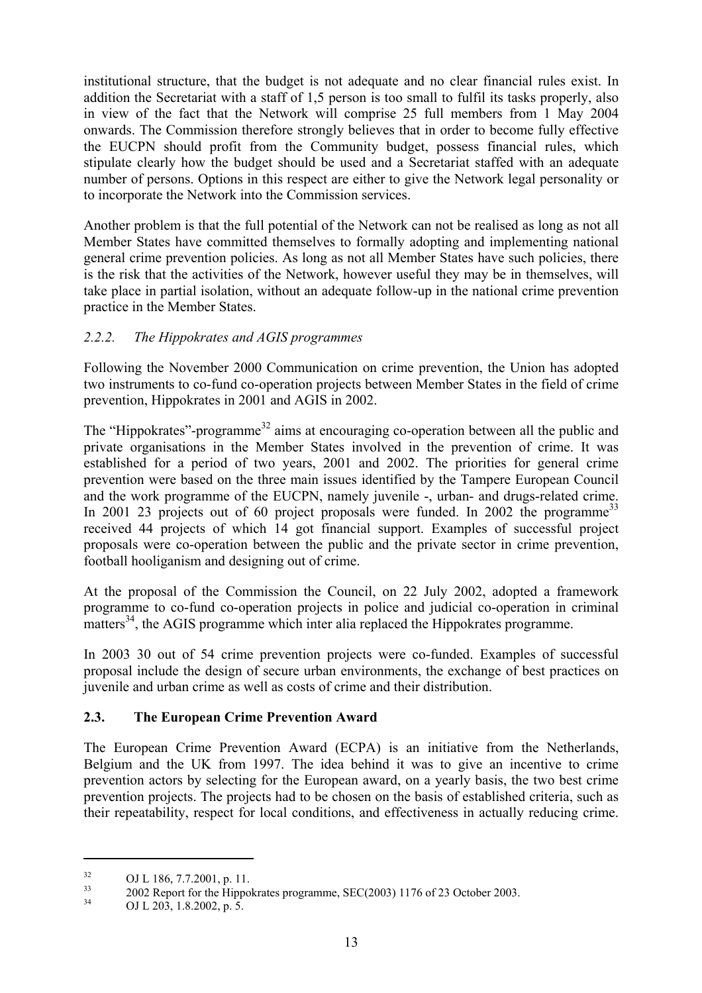institutional structure, that the budget is not adequate and no clear financial rules exist. In addition the Secretariat with a staff of 1,5 person is too small to fulfil its tasks properly, also in view of the fact that the Network will comprise 25 full members from 1 May 2004 onwards. The Commission therefore strongly believes that in order to become fully effective the EUCPN should profit from the Community budget, possess financial rules, which stipulate clearly how the budget should be used and a Secretariat staffed with an adequate number of persons. Options in this respect are either to give the Network legal personality or to incorporate the Network into the Commission services.

Another problem is that the full potential of the Network can not be realised as long as not all Member States have committed themselves to formally adopting and implementing national general crime prevention policies. As long as not all Member States have such policies, there is the risk that the activities of the Network, however useful they may be in themselves, will take place in partial isolation, without an adequate follow-up in the national crime prevention practice in the Member States.

# *2.2.2. The Hippokrates and AGIS programmes*

Following the November 2000 Communication on crime prevention, the Union has adopted two instruments to co-fund co-operation projects between Member States in the field of crime prevention, Hippokrates in 2001 and AGIS in 2002.

The "Hippokrates"-programme<sup>32</sup> aims at encouraging co-operation between all the public and private organisations in the Member States involved in the prevention of crime. It was established for a period of two years, 2001 and 2002. The priorities for general crime prevention were based on the three main issues identified by the Tampere European Council and the work programme of the EUCPN, namely juvenile -, urban- and drugs-related crime. In 2001 23 projects out of 60 project proposals were funded. In 2002 the programme<sup>33</sup> received 44 projects of which 14 got financial support. Examples of successful project proposals were co-operation between the public and the private sector in crime prevention, football hooliganism and designing out of crime.

At the proposal of the Commission the Council, on 22 July 2002, adopted a framework programme to co-fund co-operation projects in police and judicial co-operation in criminal matters<sup>34</sup>, the AGIS programme which inter alia replaced the Hippokrates programme.

In 2003 30 out of 54 crime prevention projects were co-funded. Examples of successful proposal include the design of secure urban environments, the exchange of best practices on juvenile and urban crime as well as costs of crime and their distribution.

# **2.3. The European Crime Prevention Award**

The European Crime Prevention Award (ECPA) is an initiative from the Netherlands, Belgium and the UK from 1997. The idea behind it was to give an incentive to crime prevention actors by selecting for the European award, on a yearly basis, the two best crime prevention projects. The projects had to be chosen on the basis of established criteria, such as their repeatability, respect for local conditions, and effectiveness in actually reducing crime.

 $^{32}$  OJ L 186, 7.7.2001, p. 11.

<sup>&</sup>lt;sup>33</sup> 2002 Report for the Hippokrates programme, SEC(2003) 1176 of 23 October 2003.

OJ L 203, 1.8.2002, p. 5.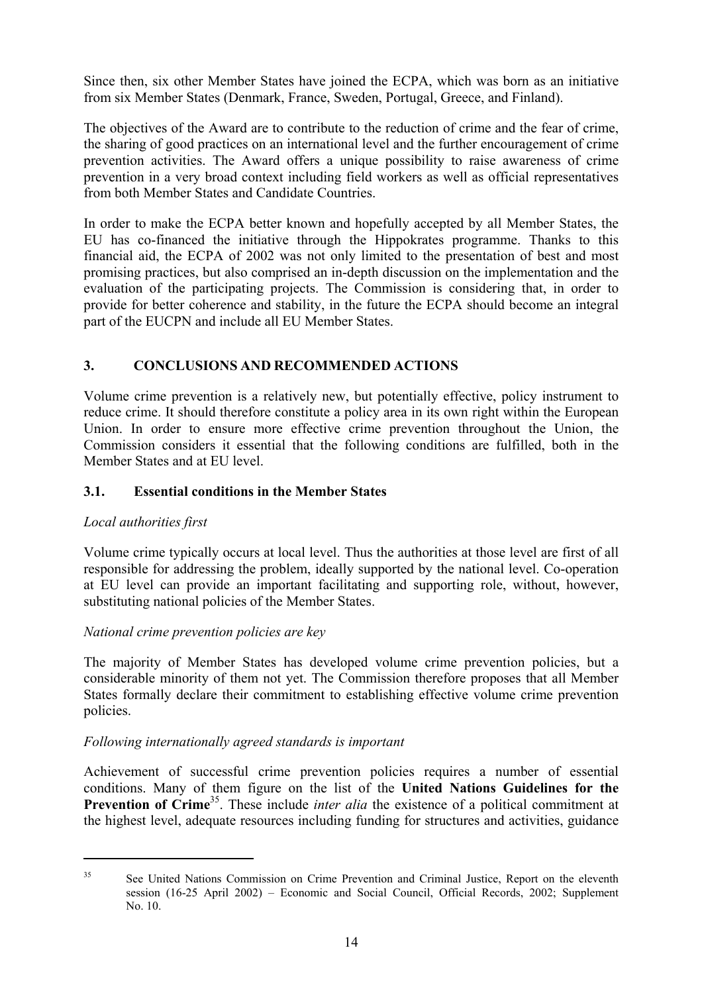Since then, six other Member States have joined the ECPA, which was born as an initiative from six Member States (Denmark, France, Sweden, Portugal, Greece, and Finland).

The objectives of the Award are to contribute to the reduction of crime and the fear of crime, the sharing of good practices on an international level and the further encouragement of crime prevention activities. The Award offers a unique possibility to raise awareness of crime prevention in a very broad context including field workers as well as official representatives from both Member States and Candidate Countries.

In order to make the ECPA better known and hopefully accepted by all Member States, the EU has co-financed the initiative through the Hippokrates programme. Thanks to this financial aid, the ECPA of 2002 was not only limited to the presentation of best and most promising practices, but also comprised an in-depth discussion on the implementation and the evaluation of the participating projects. The Commission is considering that, in order to provide for better coherence and stability, in the future the ECPA should become an integral part of the EUCPN and include all EU Member States.

# **3. CONCLUSIONS AND RECOMMENDED ACTIONS**

Volume crime prevention is a relatively new, but potentially effective, policy instrument to reduce crime. It should therefore constitute a policy area in its own right within the European Union. In order to ensure more effective crime prevention throughout the Union, the Commission considers it essential that the following conditions are fulfilled, both in the Member States and at EU level.

## **3.1. Essential conditions in the Member States**

#### *Local authorities first*

Volume crime typically occurs at local level. Thus the authorities at those level are first of all responsible for addressing the problem, ideally supported by the national level. Co-operation at EU level can provide an important facilitating and supporting role, without, however, substituting national policies of the Member States.

#### *National crime prevention policies are key*

The majority of Member States has developed volume crime prevention policies, but a considerable minority of them not yet. The Commission therefore proposes that all Member States formally declare their commitment to establishing effective volume crime prevention policies.

#### *Following internationally agreed standards is important*

Achievement of successful crime prevention policies requires a number of essential conditions. Many of them figure on the list of the **United Nations Guidelines for the Prevention of Crime<sup>35</sup>**. These include *inter alia* the existence of a political commitment at the highest level, adequate resources including funding for structures and activities, guidance

<sup>&</sup>lt;sup>35</sup> See United Nations Commission on Crime Prevention and Criminal Justice, Report on the eleventh session (16-25 April 2002) – Economic and Social Council, Official Records, 2002; Supplement No. 10.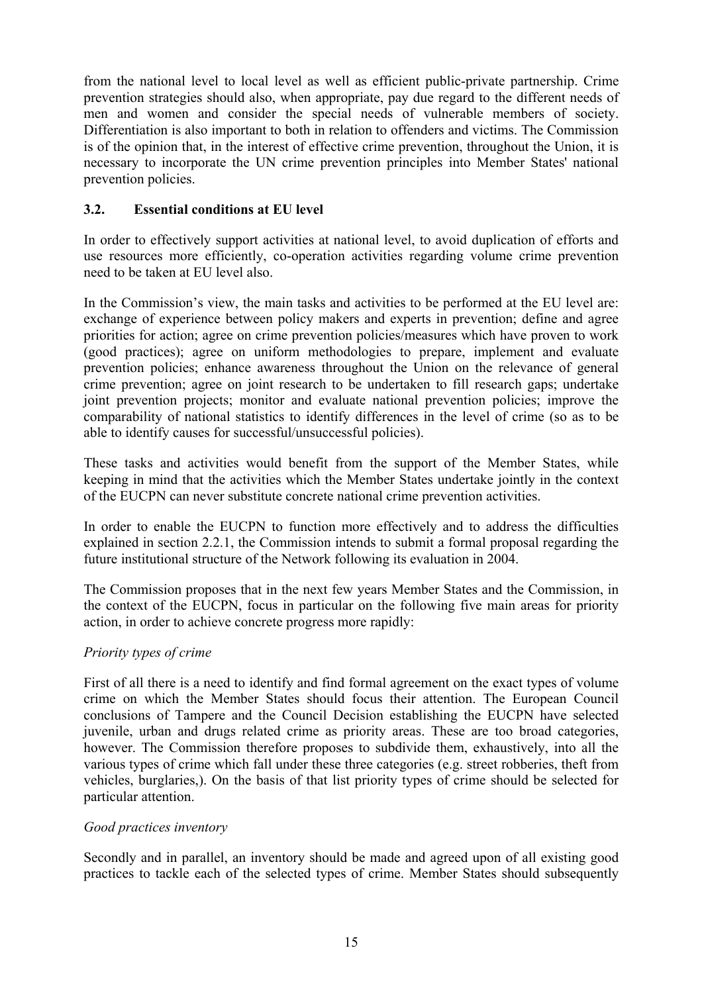from the national level to local level as well as efficient public-private partnership. Crime prevention strategies should also, when appropriate, pay due regard to the different needs of men and women and consider the special needs of vulnerable members of society. Differentiation is also important to both in relation to offenders and victims. The Commission is of the opinion that, in the interest of effective crime prevention, throughout the Union, it is necessary to incorporate the UN crime prevention principles into Member States' national prevention policies.

# **3.2. Essential conditions at EU level**

In order to effectively support activities at national level, to avoid duplication of efforts and use resources more efficiently, co-operation activities regarding volume crime prevention need to be taken at EU level also.

In the Commission's view, the main tasks and activities to be performed at the EU level are: exchange of experience between policy makers and experts in prevention; define and agree priorities for action; agree on crime prevention policies/measures which have proven to work (good practices); agree on uniform methodologies to prepare, implement and evaluate prevention policies; enhance awareness throughout the Union on the relevance of general crime prevention; agree on joint research to be undertaken to fill research gaps; undertake joint prevention projects; monitor and evaluate national prevention policies; improve the comparability of national statistics to identify differences in the level of crime (so as to be able to identify causes for successful/unsuccessful policies).

These tasks and activities would benefit from the support of the Member States, while keeping in mind that the activities which the Member States undertake jointly in the context of the EUCPN can never substitute concrete national crime prevention activities.

In order to enable the EUCPN to function more effectively and to address the difficulties explained in section 2.2.1, the Commission intends to submit a formal proposal regarding the future institutional structure of the Network following its evaluation in 2004.

The Commission proposes that in the next few years Member States and the Commission, in the context of the EUCPN, focus in particular on the following five main areas for priority action, in order to achieve concrete progress more rapidly:

#### *Priority types of crime*

First of all there is a need to identify and find formal agreement on the exact types of volume crime on which the Member States should focus their attention. The European Council conclusions of Tampere and the Council Decision establishing the EUCPN have selected juvenile, urban and drugs related crime as priority areas. These are too broad categories, however. The Commission therefore proposes to subdivide them, exhaustively, into all the various types of crime which fall under these three categories (e.g. street robberies, theft from vehicles, burglaries,). On the basis of that list priority types of crime should be selected for particular attention.

#### *Good practices inventory*

Secondly and in parallel, an inventory should be made and agreed upon of all existing good practices to tackle each of the selected types of crime. Member States should subsequently